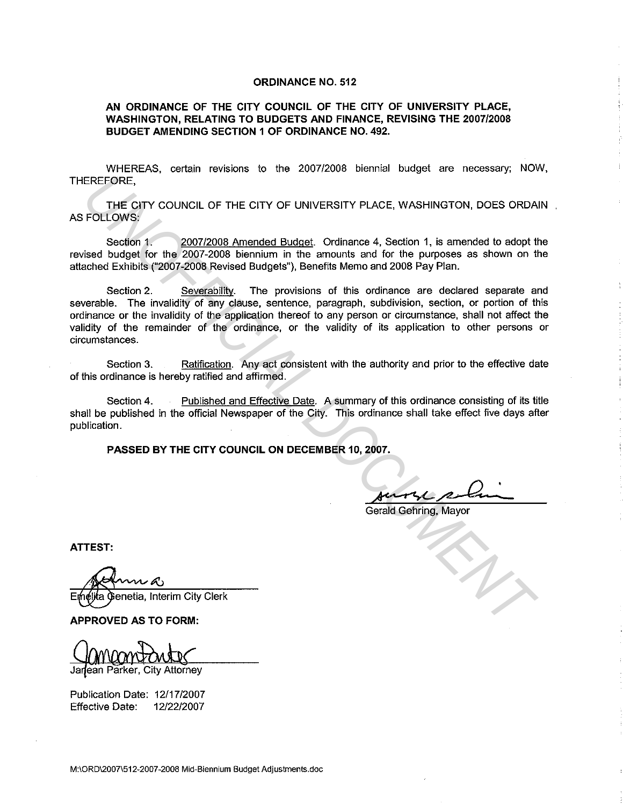## **ORDINANCE NO. 512**

## **AN ORDINANCE OF THE CITY COUNCIL OF THE CITY OF UNIVERSITY PLACE, WASHINGTON, RELATING TO BUDGETS AND FINANCE, REVISING THE 2007/2008 BUDGET AMENDING SECTION 1 OF ORDINANCE NO. 492.**

WHEREAS, certain revisions to the 2007/2008 biennial budget are necessary; NOW, THEREFORE,

**THE** CITY COUNCIL OF **THE** CITY OF UNIVERSITY PLACE, WASHINGTON, DOES ORDAIN AS FOLLOWS:

Section 1. 2007/2008 Amended Budget. Ordinance 4, Section 1, is amended to adopt the revised budget for the 2007-2008 biennium in the amounts and for the purposes as shown on the attached Exhibits ("2007-2008 Revised Budgets"), Benefits Memo and 2008 Pay Plan.

Section 2. Severability. The provisions of this ordinance are declared separate and severable. The invalidity of any clause, sentence, paragraph, subdivision, section, or portion of this ordinance or the invalidity of the application thereof to any person or circumstance, shall not affect the validity of the remainder of the ordinance, or the validity of its application to other persons or circumstances. EREFORE,<br>
THE GITY COUNCIL OF THE CITY OF UNIVERSITY PLACE, WASHINGTON, DOES ORDA<br>
FOLLOWS;<br>
Section 1, a 2007/2008 Amended Budget: Ordinance 4, Section 1, is amended to adopt the<br>
Section 1, a 2007/2008 Detention in the a

Section 3. Ratification. Any act consistent with the authority and prior to the effective date of this ordinance is hereby ratified and affirmed.

Section 4. Published and Effective Date. A summary of this ordinance consisting of its title shall be published in the official Newspaper of the City. This ordinance shall take effect five days after publication.

**PASSED BY THE CITY COUNCIL ON DECEMBER 10, 2007.** 

Gerald Gehring, Mayor

**ATTEST:** 

Emetika Genetia, Interim City Clerk

**APPROVED AS TO FORM:** 

Janean Parker, City Attorney

Publication Date: 12/17/2007 Effective Date: 12/22/2007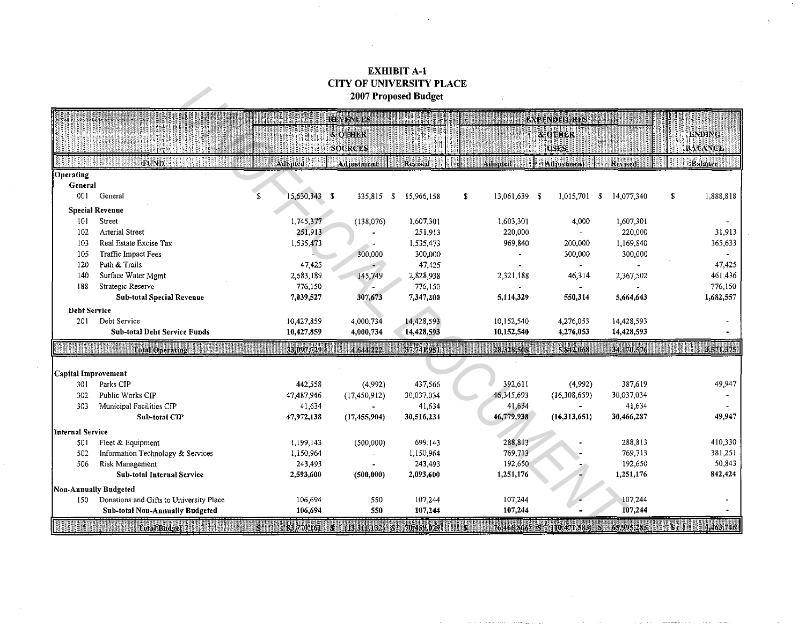## EXHIBIT A-1 CITY OF UNIVERSITY PLACE 2007 Proposed Budget

|                         |                                         |    | CH I OF UNIVERSITT FEACE<br>2007 Proposed Budget |                           |                                      |    |                     |                        |            |          |                                 |  |  |
|-------------------------|-----------------------------------------|----|--------------------------------------------------|---------------------------|--------------------------------------|----|---------------------|------------------------|------------|----------|---------------------------------|--|--|
|                         |                                         |    | REVENUES                                         |                           |                                      |    | <b>EXPENDITURES</b> |                        |            |          |                                 |  |  |
|                         |                                         |    |                                                  | & OTHER<br><b>SOURCES</b> |                                      |    |                     | & OTHER<br><b>USES</b> |            |          | <b>ENDING</b><br><b>BALANCE</b> |  |  |
|                         | FUND                                    |    | Adopted                                          | Adjustment                | Revised                              |    | Adopted             | Adjustment             | Revised    |          | Balance                         |  |  |
| Operating               |                                         |    |                                                  |                           |                                      |    |                     |                        |            |          |                                 |  |  |
| General                 |                                         |    |                                                  |                           |                                      |    |                     |                        |            |          |                                 |  |  |
| 001                     | General                                 | \$ | 15,630,343 \$                                    | 335,815                   | $\sqrt{5}$<br>15,966,158             | \$ | 13,061,639 \$       | $1,015,701$ \$         | 14,077,340 | \$       | 1,888,818                       |  |  |
|                         | <b>Special Revenue</b>                  |    |                                                  |                           |                                      |    |                     |                        |            |          |                                 |  |  |
| 101                     | Street                                  |    | 1,745,377                                        | (138,076)                 | 1,607,301                            |    | 1,603,301           | 4,000                  | 1,607,301  |          |                                 |  |  |
| 102                     | <b>Arterial Street</b>                  |    | 251,913                                          |                           | 251,913                              |    | 220,000             |                        | 220,000    |          | 31,913                          |  |  |
| 103                     | Real Estate Excise Tax                  |    | 1,535,473                                        |                           | 1,535,473                            |    | 969,840             | 200,000                | 1,169,840  |          | 365,633                         |  |  |
| 105                     | Traffic Impact Fees                     |    |                                                  | 300,000                   | 300,000                              |    |                     | 300,000                | 300,000    |          |                                 |  |  |
| 120                     | Path & Trails                           |    | 47,425                                           |                           | 47,425                               |    |                     |                        |            |          | 47,425                          |  |  |
| 140                     | Surface Water Mgmt                      |    | 2,683,189                                        | 145,749                   | 2,828,938                            |    | 2,321,188           | 46,314                 | 2.367,502  |          | 461,436                         |  |  |
| 188                     | Strategic Reserve                       |    | 776,150                                          |                           | 776,150                              |    |                     |                        |            |          | 776,150                         |  |  |
|                         | <b>Sub-total Special Revenue</b>        |    | 7,039,527                                        | 307,673                   | 7,347,200                            |    | 5,114,329           | 550,314                | 5,664,643  |          | 1,682,557                       |  |  |
| <b>Debt Service</b>     |                                         |    |                                                  |                           |                                      |    |                     |                        |            |          |                                 |  |  |
| 201                     | Debt Service                            |    | 10,427,859                                       | 4,000,734                 | 14,428,593                           |    | 10,152,540          | 4,276,053              | 14,428,593 |          |                                 |  |  |
|                         | <b>Sub-total Debt Service Funds</b>     |    | 10,427,859                                       | 4,000,734                 | 14,428,593                           |    | 10,152,540          | 4,276,053              | 14,428,593 |          |                                 |  |  |
|                         | <b>Total Operating</b>                  |    | 33.097.729                                       | 4,644.222                 | 37,741,951                           |    | 28:328.509          | 5,842,068              | 34,170,576 |          | 3,571,375                       |  |  |
|                         |                                         |    |                                                  |                           |                                      |    |                     |                        |            |          |                                 |  |  |
| Capital Improvement     |                                         |    |                                                  |                           |                                      |    |                     |                        |            |          |                                 |  |  |
| 301                     | Parks CIP                               |    | 442,558                                          | (4,992)                   | 437,566                              |    | 392,611             | (4,992)                | 387,619    |          | 49,947                          |  |  |
| 302                     | Public Works CIP                        |    | 47,487,946                                       | (17, 450, 912)            | 30,037,034                           |    | 46,345,693          | (16, 308, 659)         | 30,037,034 |          |                                 |  |  |
| 303                     | Municipal Facilities CIP                |    | 41,634                                           |                           | 41.634                               |    | 41,634              |                        | 41,634     |          |                                 |  |  |
|                         | Sub-total CIP                           |    | 47,972,138                                       | (17, 455, 904)            | 30,516,234                           |    | 46,779,938          | (16, 313, 651)         | 30.466,287 |          | 49,947                          |  |  |
| <b>Internal Service</b> |                                         |    |                                                  |                           |                                      |    |                     |                        |            |          |                                 |  |  |
| 501                     | Fleet & Equipment                       |    | 1,199,143                                        | (500,000)                 | 699,143                              |    | 288,813             |                        | 288,813    |          | 410,330                         |  |  |
| 502                     | Information Technology & Services       |    | 1,150,964                                        |                           | 1,150,964                            |    | 769,713             |                        | 769,713    |          | 381,251                         |  |  |
| 506                     | Risk Management                         |    | 243,493                                          |                           | 243,493                              |    | 192,650             |                        | 192,650    |          | 50,843                          |  |  |
|                         | <b>Sub-total Internal Service</b>       |    | 2,593,600                                        | (500,000)                 | 2,093,600                            |    | 1,251,176           |                        | 1,251,176  |          | 842,424                         |  |  |
| Non-Annually Budgeted   |                                         |    |                                                  |                           |                                      |    |                     |                        |            |          |                                 |  |  |
| 150                     | Donations and Gifts to University Place |    | 106,694                                          | 550                       | 107,244                              |    | 107,244             |                        | 107,244    |          |                                 |  |  |
|                         | Sub-total Non-Annually Budgeted         |    | 106,694                                          | 550                       | 107,244                              |    | 107,244             |                        | 107,244    |          |                                 |  |  |
|                         | <b>Total Budget</b>                     | H  | 83,770,161 8                                     |                           | $(13.311, 132)$ S $(70, 459, 029)$ . |    | 76,466,866          | $(10.471, 583)$ S<br>W | 65,995,283 | siiliili | 4,463,746                       |  |  |